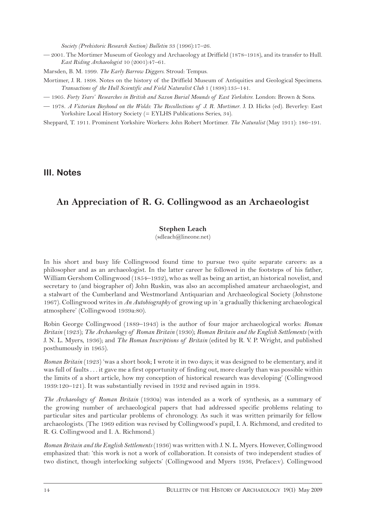*Society (Prehistoric Research Section) Bulletin* 33 (1996):17–26.

— 2001. The Mortimer Museum of Geology and Archaeology at Driffield (1878–1918), and its transfer to Hull. *East Riding Archaeologist* 10 (2001):47–61.

Marsden, B. M. 1999. *The Early Barrow Diggers*. Stroud: Tempus.

Mortimer, J. R. 1898. Notes on the history of the Driffield Museum of Antiquities and Geological Specimens. *Transactions of the Hull Scientific and Field Naturalist Club* 1 (1898):135–141.

— 1905. *Forty Years' Researches in British and Saxon Burial Mounds of East Yorkshire*. London: Brown & Sons.

— 1978. *A Victorian Boyhood on the Wolds: The Recollections of J. R. Mortimer*. J. D. Hicks (ed). Beverley: East Yorkshire Local History Society (= EYLHS Publications Series, 34).

Sheppard, T. 1911. Prominent Yorkshire Workers: John Robert Mortimer. *The Naturalist* (May 1911): 186–191.

doi: 10.5334/bha.19103

## **III. Notes**

# **An Appreciation of R. G. Collingwood as an Archaeologist**

#### **Stephen Leach**

(sdleach@lineone.net)

In his short and busy life Collingwood found time to pursue two quite separate careers: as a philosopher and as an archaeologist. In the latter career he followed in the footsteps of his father, William Gershom Collingwood (1854–1932), who as well as being an artist, an historical novelist, and secretary to (and biographer of) John Ruskin, was also an accomplished amateur archaeologist, and a stalwart of the Cumberland and Westmorland Antiquarian and Archaeological Society (Johnstone 1967). Collingwood writes in *An Autobiography* of growing up in 'a gradually thickening archaeological atmosphere' (Collingwood 1939a:80).

Robin George Collingwood (1889–1943) is the author of four major archaeological works: *Roman Britain* (1923); *The Archaeology of Roman Britain* (1930); *Roman Britain and the English Settlements* (with J. N. L. Myers, 1936); and *The Roman Inscriptions of Britain* (edited by R. V. P. Wright, and published posthumously in 1965).

*Roman Britain* (1923) 'was a short book; I wrote it in two days; it was designed to be elementary, and it was full of faults . . . it gave me a first opportunity of finding out, more clearly than was possible within the limits of a short article, how my conception of historical research was developing' (Collingwood 1939:120–121). It was substantially revised in 1932 and revised again in 1934.

*The Archaeology of Roman Britain* (1930a) was intended as a work of synthesis, as a summary of the growing number of archaeological papers that had addressed specific problems relating to particular sites and particular problems of chronology. As such it was written primarily for fellow archaeologists. (The 1969 edition was revised by Collingwood's pupil, I. A. Richmond, and credited to R. G. Collingwood and I. A. Richmond.)

*Roman Britain and the English Settlements* (1936) was written with J. N. L. Myers. However, Collingwood emphasized that: 'this work is not a work of collaboration. It consists of two independent studies of two distinct, though interlocking subjects' (Collingwood and Myers 1936, Preface:v). Collingwood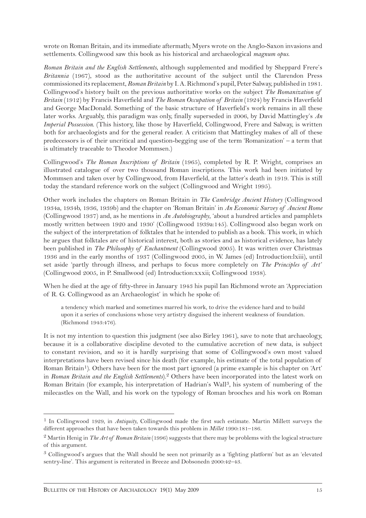wrote on Roman Britain, and its immediate aftermath; Myers wrote on the Anglo-Saxon invasions and settlements. Collingwood saw this book as his historical and archaeological *magnum opus*.

*Roman Britain and the English Settlements*, although supplemented and modified by Sheppard Frere's *Britannia* (1967), stood as the authoritative account of the subject until the Clarendon Press commissioned its replacement, *Roman Britain* by I. A. Richmond's pupil, Peter Salway, published in 1981. Collingwood's history built on the previous authoritative works on the subject *The Romanization of Britain* (1912) by Francis Haverfield and *The Roman Occupation of Britain* (1924) by Francis Haverfield and George MacDonald. Something of the basic structure of Haverfield's work remains in all these later works. Arguably, this paradigm was only, finally superseded in 2006, by David Mattingley's *An Imperial Possession*. (This history, like those by Haverfield, Collingwood, Frere and Salway, is written both for archaeologists and for the general reader. A criticism that Mattingley makes of all of these predecessors is of their uncritical and question-begging use of the term 'Romanization' – a term that is ultimately traceable to Theodor Mommsen.)

Collingwood's *The Roman Inscriptions of Britain* (1965), completed by R. P. Wright, comprises an illustrated catalogue of over two thousand Roman inscriptions. This work had been initiated by Mommsen and taken over by Collingwood, from Haverfield, at the latter's death in 1919. This is still today the standard reference work on the subject (Collingwood and Wright 1995).

Other work includes the chapters on Roman Britain in *The Cambridge Ancient History* (Collingwood 1934a, 1934b, 1936, 1939b) and the chapter on 'Roman Britain' in *An Economic Survey of Ancient Rome* (Collingwood 1937) and, as he mentions in *An Autobiography*, 'about a hundred articles and pamphlets mostly written between 1920 and 1930' (Collingwood 1939a:145). Collingwood also began work on the subject of the interpretation of folktales that he intended to publish as a book. This work, in which he argues that folktales are of historical interest, both as stories and as historical evidence, has lately been published in *The Philosophy of Enchantment* (Collingwood 2005). It was written over Christmas 1936 and in the early months of 1937 (Collingwood 2005, in W. James (ed) Introduction:lxiii), until set aside 'partly through illness, and perhaps to focus more completely on *The Principles of Art'*  (Collingwood 2005, in P. Smallwood (ed) Introduction:xxxii; Collingwood 1938).

When he died at the age of fifty-three in January 1943 his pupil Ian Richmond wrote an 'Appreciation of R. G. Collingwood as an Archaeologist' in which he spoke of:

a tendency which marked and sometimes marred his work, to drive the evidence hard and to build upon it a series of conclusions whose very artistry disguised the inherent weakness of foundation. (Richmond 1943:476).

It is not my intention to question this judgment (see also Birley 1961), save to note that archaeology, because it is a collaborative discipline devoted to the cumulative accretion of new data, is subject to constant revision, and so it is hardly surprising that some of Collingwood's own most valued interpretations have been revised since his death (for example, his estimate of the total population of Roman Britain<sup>1</sup>). Others have been for the most part ignored (a prime example is his chapter on 'Art' in *Roman Britain and the English Settlements*).2 Others have been incorporated into the latest work on Roman Britain (for example, his interpretation of Hadrian's Wall3, his system of numbering of the milecastles on the Wall, and his work on the typology of Roman brooches and his work on Roman

<sup>1</sup> In Collingwood 1929, in *Antiquity*, Collingwood made the first such estimate. Martin Millett surveys the different approaches that have been taken towards this problem in *Millet* 1990:181–186.

<sup>2</sup> Martin Henig in *The Art of Roman Britain* (1996) suggests that there may be problems with the logical structure of this argument.

<sup>3</sup> Collingwood's argues that the Wall should be seen not primarily as a 'fighting platform' but as an 'elevated sentry-line'. This argument is reiterated in Breeze and Dobsonedn 2000:42–43.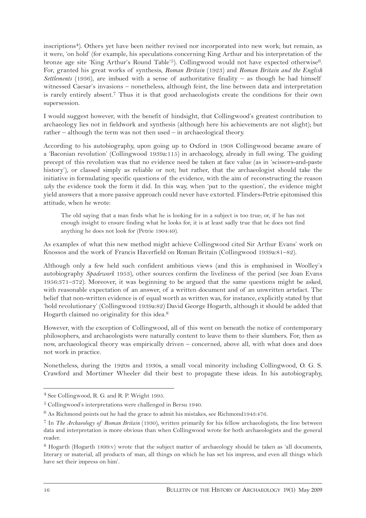inscriptions<sup>4</sup>). Others yet have been neither revised nor incorporated into new work; but remain, as it were, 'on hold' (for example, his speculations concerning King Arthur and his interpretation of the bronze age site 'King Arthur's Round Table'<sup>5</sup>). Collingwood would not have expected otherwise<sup>6</sup>. For, granted his great works of synthesis, *Roman Britain* (1923) and *Roman Britain and the English Settlements* (1936), are imbued with a sense of authoritative finality – as though he had himself witnessed Caesar's invasions – nonetheless, although feint, the line between data and interpretation is rarely entirely absent.7 Thus it is that good archaeologists create the conditions for their own supersession.

I would suggest however, with the benefit of hindsight, that Collingwood's greatest contribution to archaeology lies not in fieldwork and synthesis (although here his achievements are not slight); but rather – although the term was not then used – in archaeological theory.

According to his autobiography, upon going up to Oxford in 1908 Collingwood became aware of a 'Baconian revolution' (Collingwood 1939a:115) in archaeology, already in full swing. The guiding precept of this revolution was that no evidence need be taken at face value (as in 'scissors-and-paste history'), or classed simply as reliable or not; but rather, that the archaeologist should take the initiative in formulating specific questions of the evidence, with the aim of reconstructing the reason *why* the evidence took the form it did. In this way, when 'put to the question', the evidence might yield answers that a more passive approach could never have extorted. Flinders-Petrie epitomised this attitude, when he wrote:

The old saying that a man finds what he is looking for in a subject is too true; or, if he has not enough insight to ensure finding what he looks for, it is at least sadly true that he does not find anything he does not look for (Petrie 1904:49).

As examples of what this new method might achieve Collingwood cited Sir Arthur Evans' work on Knossos and the work of Francis Haverfield on Roman Britain (Collingwood 1939a:81–82).

Although only a few held such confident ambitious views (and this is emphasised in Woolley's autobiography *Spadework* 1953), other sources confirm the liveliness of the period (see Joan Evans 1956:371–372). Moreover, it was beginning to be argued that the same questions might be asked, with reasonable expectation of an answer, of a written document and of an unwritten artefact. The belief that non-written evidence is of equal worth as written was, for instance, explicitly stated by that 'bold revolutionary' (Collingwood 1939a:82) David George Hogarth, although it should be added that Hogarth claimed no originality for this idea.8

However, with the exception of Collingwood, all of this went on beneath the notice of contemporary philosophers, and archaeologists were naturally content to leave them to their slumbers. For, then as now, archaeological theory was empirically driven – concerned, above all, with what does and does not work in practice.

Nonetheless, during the 1920s and 1930s, a small vocal minority including Collingwood, O. G. S. Crawford and Mortimer Wheeler did their best to propagate these ideas. In his autobiography,

<sup>4</sup> See Collingwood, R. G. and R. P. Wright 1995.

<sup>5</sup> Collingwood's interpretations were challenged in Bersu 1940.

 $6$  As Richmond points out he had the grace to admit his mistakes, see Richmond1943:476.

<sup>7</sup> In *The Archaeology of Roman Britain* (1930), written primarily for his fellow archaeologists, the line between data and interpretation is more obvious than when Collingwood wrote for both archaeologists and the general reader.

<sup>8</sup> Hogarth (Hogarth 1899:v) wrote that the subject matter of archaeology should be taken as 'all documents, literary or material, all products of man, all things on which he has set his impress, and even all things which have set their impress on him'.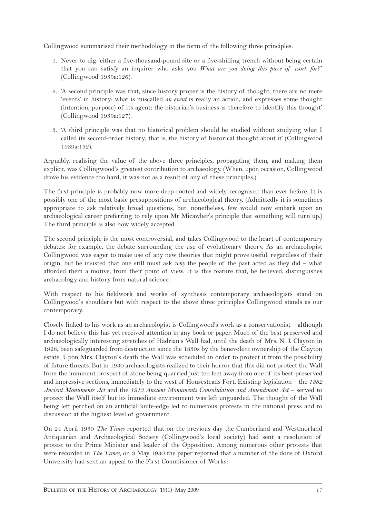Collingwood summarised their methodology in the form of the following three principles:

- 1. Never to dig 'either a five-thousand-pound site or a five-shilling trench without being certain that you can satisfy an inquirer who asks you *What are you doing this piece of work for?'*  (Collingwood 1939a:126).
- 2. 'A second principle was that, since history proper is the history of thought, there are no mere 'events' in history: what is miscalled *an event* is really an action, and expresses some thought (intention, purpose) of its agent; the historian's business is therefore to identify this thought' (Collingwood 1939a:127).
- 3. 'A third principle was that no historical problem should be studied without studying what I called its second-order history; that is, the history of historical thought about it' (Collingwood 1939a:132).

Arguably, realising the value of the above three principles, propagating them, and making them explicit, was Collingwood's greatest contribution to archaeology. (When, upon occasion, Collingwood drove his evidence too hard, it was not as a result of any of these principles.)

The first principle is probably now more deep-rooted and widely recognised than ever before. It is possibly one of the most basic presuppositions of archaeological theory. (Admittedly it is sometimes appropriate to ask relatively broad questions, but, nonetheless, few would now embark upon an archaeological career preferring to rely upon Mr Micawber's principle that something will turn up.) The third principle is also now widely accepted.

The second principle is the most controversial, and takes Collingwood to the heart of contemporary debates: for example, the debate surrounding the use of evolutionary theory. As an archaeologist Collingwood was eager to make use of any new theories that might prove useful, regardless of their origin, but he insisted that one still must ask *why* the people of the past acted as they did – what afforded them a motive, from their point of view. It is this feature that, he believed, distinguishes archaeology and history from natural science.

With respect to his fieldwork and works of synthesis contemporary archaeologists stand on Collingwood's shoulders but with respect to the above three principles Collingwood stands as our contemporary.

Closely linked to his work as an archaeologist is Collingwood's work as a conservationist – although I do not believe this has yet received attention in any book or paper. Much of the best preserved and archaeologically interesting stretches of Hadrian's Wall had, until the death of Mrs. N. J. Clayton in 1928, been safeguarded from destruction since the 1830s by the benevolent ownership of the Clayton estate. Upon Mrs. Clayton's death the Wall was scheduled in order to protect it from the possibility of future threats. But in 1930 archaeologists realized to their horror that this did not protect the Wall from the imminent prospect of stone being quarried just ten feet away from one of its best-preserved and impressive sections, immediately to the west of Housesteads Fort. Existing legislation – the *1882 Ancient Monuments Act* and the *1913 Ancient Monuments Consolidation and Amendment Act* – served to protect the Wall itself but its immediate environment was left unguarded. The thought of the Wall being left perched on an artificial knife-edge led to numerous protests in the national press and to discussion at the highest level of government.

On 24 April 1930 *The Times* reported that on the previous day the Cumberland and Westmorland Antiquarian and Archaeological Society (Collingwood's local society) had sent a resolution of protest to the Prime Minister and leader of the Opposition. Among numerous other protests that were recorded in *The Times*, on 3 May 1930 the paper reported that a number of the dons of Oxford University had sent an appeal to the First Commisioner of Works: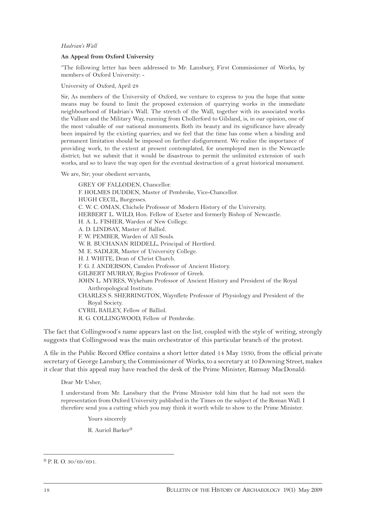#### *Hadrian's Wall*

#### **An Appeal from Oxford University**

"The following letter has been addressed to Mr. Lansbury, First Commissioner of Works, by members of Oxford University: -

University of Oxford, April 28

Sir, As members of the University of Oxford, we venture to express to you the hope that some means may be found to limit the proposed extension of quarrying works in the immediate neighbourhood of Hadrian's Wall. The stretch of the Wall, together with its associated works the Vallum and the Military Way, running from Chollerford to Gilsland, is, in our opinion, one of the most valuable of our national monuments. Both its beauty and its significance have already been impaired by the existing quarries; and we feel that the time has come when a binding and permanent limitation should be imposed on further disfigurement. We realize the importance of providing work, to the extent at present contemplated, for unemployed men in the Newcastle district; but we submit that it would be disastrous to permit the unlimited extension of such works, and so to leave the way open for the eventual destruction of a great historical monument.

We are, Sir; your obedient servants,

GREY OF FALLODEN, Chancellor. F. HOLMES DUDDEN, Master of Pembroke, Vice-Chancellor. HUGH CECIL, Burgesses. C. W. C. OMAN, Chichele Professor of Modern History of the University. HERBERT L. WILD, Hon. Fellow of Exeter and formerly Bishop of Newcastle. H. A. L. FISHER, Warden of New College. A. D. LINDSAY, Master of Balliol. F. W. PEMBER, Warden of All Souls. W. R. BUCHANAN RIDDELL, Principal of Hertford. M. E. SADLER, Master of University College. H. J. WHITE, Dean of Christ Church. F. G. J. ANDERSON, Camden Professor of Ancient History. GILBERT MURRAY, Regius Professor of Greek. JOHN L. MYRES, Wykeham Professor of Ancient History and President of the Royal Anthropological Institute. CHARLES S. SHERRINGTON, Waynflete Professor of Physiology and President of the Royal Society. CYRIL BAILEY, Fellow of Balliol. R. G. COLLINGWOOD, Fellow of Pembroke.

The fact that Collingwood's name appears last on the list, coupled with the style of writing, strongly suggests that Collingwood was the main orchestrator of this particular branch of the protest.

A file in the Public Record Office contains a short letter dated 14 May 1930, from the official private secretary of George Lansbury, the Commissioner of Works, to a secretary at 10 Downing Street, makes it clear that this appeal may have reached the desk of the Prime Minister, Ramsay MacDonald:

Dear Mr Usher,

I understand from Mr. Lansbury that the Prime Minister told him that he had not seen the representation from Oxford University published in the Times on the subject of the Roman Wall. I therefore send you a cutting which you may think it worth while to show to the Prime Minister.

Yours sincerely

R. Auriol Barker<sup>9</sup>

<sup>9</sup> P. R. O. 30/69/691.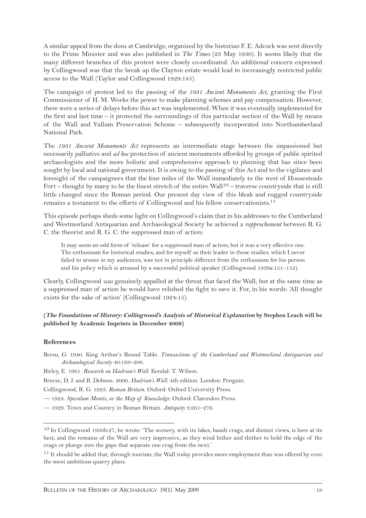A similar appeal from the dons at Cambridge, organized by the historian F. E. Adcock was sent directly to the Prime Minister and was also published in *The Times* (23 May 1930). It seems likely that the many different branches of this protest were closely co-ordinated. An additional concern expressed by Collingwood was that the break up the Clayton estate would lead to increasingly restricted public access to the Wall (Taylor and Collingwood 1929:185).

The campaign of protest led to the passing of the *1931 Ancient Monuments Act*, granting the First Commissioner of H. M. Works the power to make planning schemes and pay compensation. However, there were a series of delays before this act was implemented. When it was eventually implemented for the first and last time – it protected the surroundings of this particular section of the Wall by means of the Wall and Vallum Preservation Scheme – subsequently incorporated into Northumberland National Park.

The *1931 Ancient Monuments Act* represents an intermediate stage between the impassioned but necessarily palliative and *ad hoc* protection of ancient monuments afforded by groups of public spirited archaeologists and the more holistic and comprehensive approach to planning that has since been sought by local and national government. It is owing to the passing of this Act and to the vigilance and foresight of the campaigners that the four miles of the Wall immediately to the west of Housesteads Fort – thought by many to be the finest stretch of the entire Wall<sup>10</sup> – traverse countryside that is still little changed since the Roman period. Our present day view of this bleak and rugged countryside remains a testament to the efforts of Collingwood and his fellow conservationists.11

This episode perhaps sheds some light on Collingwood's claim that in his addresses to the Cumberland and Westmorland Antiquarian and Archaeological Society he achieved a *rapprochement* between R. G. C. the theorist and R. G. C. the suppressed man of action:

It may seem an odd form of 'release' for a suppressed man of action; but it was a very effective one. The enthusiasm for historical studies, and for myself as their leader in those studies, which I never failed to arouse in my audiences, was not in principle different from the enthusiasm for his person and his policy which is aroused by a successful political speaker (Collingwood 1939a:151–152).

Clearly, Collingwood *was* genuinely appalled at the threat that faced the Wall, but at the same time as a suppressed man of action he would have relished the fight to save it. For, in his words: 'All thought exists for the sake of action' (Collingwood 1924:15).

## **(The Foundations of History: Collingwood's Analysis of Historical Explanation by Stephen Leach will be published by Academic Imprints in December 2009)**

### **References**

- Bersu, G. 1940. King Arthur's Round Table. *Transactions of the Cumberland and Westmorland Antiquarian and Archaeological Society* 40:169–206.
- Birley, E. 1961. *Research on Hadrian's Wall*. Kendal: T. Wilson.

Breeze, D. J. and B. Dobson. 2000. *Hadrian's Wall*. 4th edition. London: Penguin.

Collingwood, R. G. 1923. *Roman Britain*. Oxford: Oxford University Press.

<sup>— 1924.</sup> *Speculum Mentis, or the Map of Knowledge*. Oxford: Clarendon Press.

<sup>— 1929.</sup> Town and Country in Roman Britain. *Antiquity* 3:261–276.

<sup>10</sup> In Collingwood 1930b:27, he wrote: 'The scenery, with its lakes, basalt crags, and distant views, is here at its best, and the remains of the Wall are very impressive, as they wind hither and thither to hold the edge of the crags or plunge into the gaps that separate one crag from the next.'

<sup>&</sup>lt;sup>11</sup> It should be added that, through tourism, the Wall today provides more employment than was offered by even the most ambitious quarry plans.